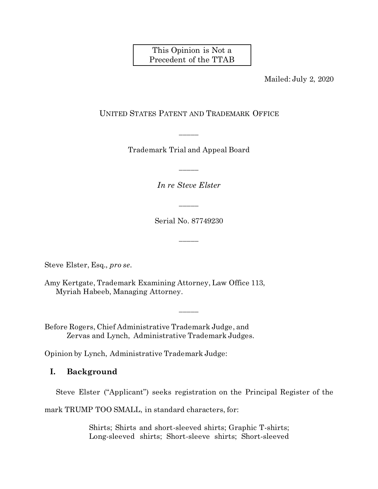This Opinion is Not a Precedent of the TTAB

Mailed: July 2, 2020

## UNITED STATES PATENT AND TRADEMARK OFFICE

Trademark Trial and Appeal Board

\_\_\_\_\_

*In re Steve Elster*

\_\_\_\_\_

Serial No. 87749230

\_\_\_\_\_

\_\_\_\_\_

\_\_\_\_\_

Steve Elster, Esq., *pro se*.

Amy Kertgate, Trademark Examining Attorney, Law Office 113, Myriah Habeeb, Managing Attorney.

Before Rogers, Chief Administrative Trademark Judge, and Zervas and Lynch, Administrative Trademark Judges.

Opinion by Lynch, Administrative Trademark Judge:

## **I. Background**

Steve Elster ("Applicant") seeks registration on the Principal Register of the

mark TRUMP TOO SMALL, in standard characters, for:

Shirts; Shirts and short-sleeved shirts; Graphic T-shirts; Long-sleeved shirts; Short-sleeve shirts; Short-sleeved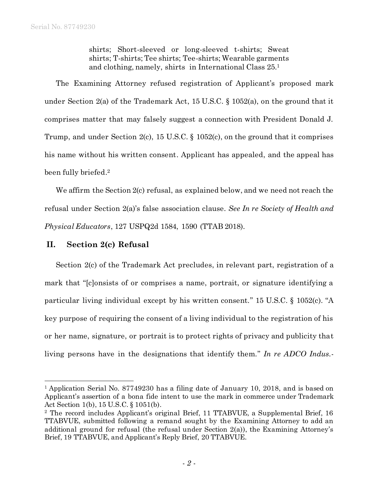shirts; Short-sleeved or long-sleeved t-shirts; Sweat shirts; T-shirts; Tee shirts; Tee-shirts; Wearable garments and clothing, namely, shirts in International Class 25. 1

The Examining Attorney refused registration of Applicant's proposed mark under Section 2(a) of the Trademark Act, 15 U.S.C. § 1052(a), on the ground that it comprises matter that may falsely suggest a connection with President Donald J. Trump, and under Section 2(c), 15 U.S.C. § 1052(c), on the ground that it comprises his name without his written consent. Applicant has appealed, and the appeal has been fully briefed. 2

We affirm the Section 2(c) refusal, as explained below, and we need not reach the refusal under Section 2(a)'s false association clause. *See In re Society of Health and Physical Educators*, 127 USPQ2d 1584, 1590 (TTAB 2018).

## **II. Section 2(c) Refusal**

l

Section 2(c) of the Trademark Act precludes, in relevant part, registration of a mark that "[c]onsists of or comprises a name, portrait, or signature identifying a particular living individual except by his written consent." 15 U.S.C. § 1052(c). "A key purpose of requiring the consent of a living individual to the registration of his or her name, signature, or portrait is to protect rights of privacy and publicity that living persons have in the designations that identify them." *In re ADCO Indus.-*

<sup>&</sup>lt;sup>1</sup> Application Serial No. 87749230 has a filing date of January 10, 2018, and is based on Applicant's assertion of a bona fide intent to use the mark in commerce under Trademark Act Section 1(b), 15 U.S.C. § 1051(b).

<sup>2</sup> The record includes Applicant's original Brief, 11 TTABVUE, a Supplemental Brief, 16 TTABVUE, submitted following a remand sought by the Examining Attorney to add an additional ground for refusal (the refusal under Section  $2(a)$ ), the Examining Attorney's Brief, 19 TTABVUE, and Applicant's Reply Brief, 20 TTABVUE.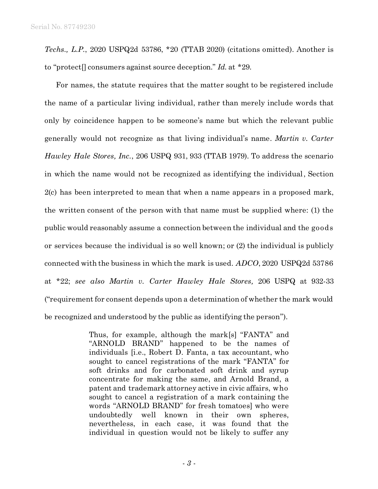*Techs., L.P.*, 2020 USPQ2d 53786, \*20 (TTAB 2020) (citations omitted). Another is to "protect[] consumers against source deception." *Id.* at \*29.

For names, the statute requires that the matter sought to be registered include the name of a particular living individual, rather than merely include words that only by coincidence happen to be someone's name but which the relevant public generally would not recognize as that living individual's name. *Martin v. Carter Hawley Hale Stores, Inc.*, 206 USPQ 931, 933 (TTAB 1979). To address the scenario in which the name would not be recognized as identifying the individual, Section 2(c) has been interpreted to mean that when a name appears in a proposed mark, the written consent of the person with that name must be supplied where: (1) the public would reasonably assume a connection between the individual and the goods or services because the individual is so well known; or (2) the individual is publicly connected with the business in which the mark is used. *ADCO*, 2020 USPQ2d 53786 at \*22; *see also Martin v. Carter Hawley Hale Stores,* 206 USPQ at 932-33 ("requirement for consent depends upon a determination of whether the mark would be recognized and understood by the public as identifying the person").

> Thus, for example, although the mark[s] "FANTA" and "ARNOLD BRAND" happened to be the names of individuals [i.e., Robert D. Fanta, a tax accountant, who sought to cancel registrations of the mark "FANTA" for soft drinks and for carbonated soft drink and syrup concentrate for making the same, and Arnold Brand, a patent and trademark attorney active in civic affairs, who sought to cancel a registration of a mark containing the words "ARNOLD BRAND" for fresh tomatoes] who were undoubtedly well known in their own spheres, nevertheless, in each case, it was found that the individual in question would not be likely to suffer any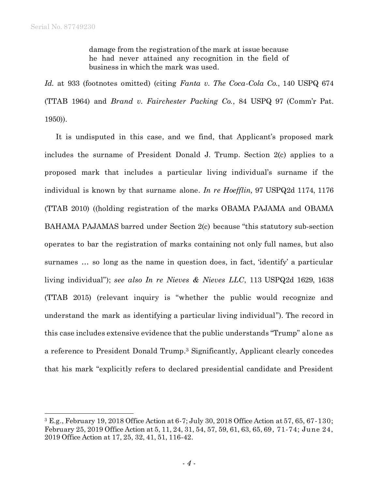l

damage from the registration of the mark at issue because he had never attained any recognition in the field of business in which the mark was used.

*Id.* at 933 (footnotes omitted) (citing *Fanta v. The Coca-Cola Co.*, 140 USPQ 674 (TTAB 1964) and *Brand v. Fairchester Packing Co.*, 84 USPQ 97 (Comm'r Pat. 1950)).

It is undisputed in this case, and we find, that Applicant's proposed mark includes the surname of President Donald J. Trump. Section 2(c) applies to a proposed mark that includes a particular living individual's surname if the individual is known by that surname alone. *In re Hoefflin,* 97 USPQ2d 1174, 1176 (TTAB 2010) ((holding registration of the marks OBAMA PAJAMA and OBAMA BAHAMA PAJAMAS barred under Section 2(c) because "this statutory sub-section operates to bar the registration of marks containing not only full names, but also surnames … so long as the name in question does, in fact, 'identify' a particular living individual"); *see also In re Nieves & Nieves LLC*, 113 USPQ2d 1629, 1638 (TTAB 2015) (relevant inquiry is "whether the public would recognize and understand the mark as identifying a particular living individual"). The record in this case includes extensive evidence that the public understands "Trump" alone as a reference to President Donald Trump.<sup>3</sup> Significantly, Applicant clearly concedes that his mark "explicitly refers to declared presidential candidate and President

<sup>3</sup> E.g., February 19, 2018 Office Action at 6-7; July 30, 2018 Office Action at 57, 65, 67-130; February 25, 2019 Office Action at 5, 11, 24, 31, 54, 57, 59, 61, 63, 65, 69, 71-74; June 24, 2019 Office Action at 17, 25, 32, 41, 51, 116-42.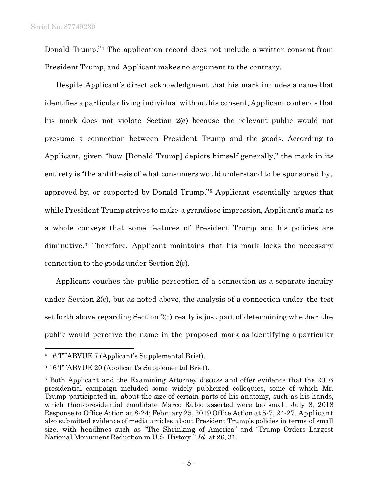Donald Trump." <sup>4</sup> The application record does not include a written consent from President Trump, and Applicant makes no argument to the contrary.

Despite Applicant's direct acknowledgment that his mark includes a name that identifies a particular living individual without his consent, Applicant contends that his mark does not violate Section 2(c) because the relevant public would not presume a connection between President Trump and the goods. According to Applicant, given "how [Donald Trump] depicts himself generally," the mark in its entirety is "the antithesis of what consumers would understand to be sponsored by, approved by, or supported by Donald Trump."<sup>5</sup> Applicant essentially argues that while President Trump strives to make a grandiose impression, Applicant's mark as a whole conveys that some features of President Trump and his policies are diminutive.<sup>6</sup> Therefore, Applicant maintains that his mark lacks the necessary connection to the goods under Section 2(c).

Applicant couches the public perception of a connection as a separate inquiry under Section 2(c), but as noted above, the analysis of a connection under the test set forth above regarding Section 2(c) really is just part of determining whether the public would perceive the name in the proposed mark as identifying a particular

l

<sup>4</sup> 16 TTABVUE 7 (Applicant's Supplemental Brief).

<sup>5</sup> 16 TTABVUE 20 (Applicant's Supplemental Brief).

<sup>6</sup> Both Applicant and the Examining Attorney discuss and offer evidence that the 2016 presidential campaign included some widely publicized colloquies, some of which Mr. Trump participated in, about the size of certain parts of his anatomy, such as his hands, which then-presidential candidate Marco Rubio asserted were too small. July 8, 2018 Response to Office Action at 8-24; February 25, 2019 Office Action at 5-7, 24-27. Applicant also submitted evidence of media articles about President Trump's policies in terms of small size, with headlines such as "The Shrinking of America" and "Trump Orders Largest National Monument Reduction in U.S. History." *Id.* at 26, 31.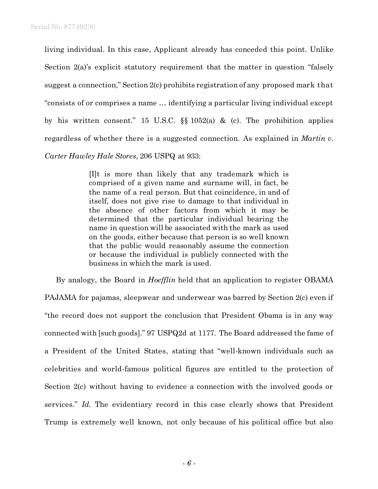living individual. In this case, Applicant already has conceded this point. Unlike Section 2(a)'s explicit statutory requirement that the matter in question "falsely suggest a connection," Section 2(c) prohibits registration of any proposed mark that "consists of or comprises a name … identifying a particular living individual except by his written consent." 15 U.S.C.  $\S$  1052(a) & (c). The prohibition applies regardless of whether there is a suggested connection. As explained in *Martin v. Carter Hawley Hale Stores,* 206 USPQ at 933:

> [I]t is more than likely that any trademark which is comprised of a given name and surname will, in fact, be the name of a real person. But that coincidence, in and of itself, does not give rise to damage to that individual in the absence of other factors from which it may be determined that the particular individual bearing the name in question will be associated with the mark as used on the goods, either because that person is so well known that the public would reasonably assume the connection or because the individual is publicly connected with the business in which the mark is used.

By analogy, the Board in *Hoefflin* held that an application to register OBAMA PAJAMA for pajamas, sleepwear and underwear was barred by Section 2(c) even if "the record does not support the conclusion that President Obama is in any way connected with [such goods]." 97 USPQ2d at 1177. The Board addressed the fame of a President of the United States, stating that "well-known individuals such as celebrities and world-famous political figures are entitled to the protection of Section 2(c) without having to evidence a connection with the involved goods or services." *Id.* The evidentiary record in this case clearly shows that President Trump is extremely well known, not only because of his political office but also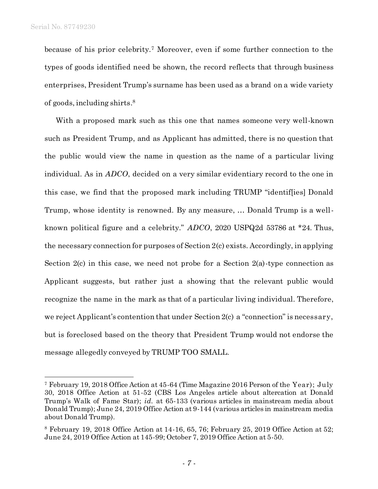l

because of his prior celebrity.<sup>7</sup> Moreover, even if some further connection to the types of goods identified need be shown, the record reflects that through business enterprises, President Trump's surname has been used as a brand on a wide variety of goods, including shirts. 8

With a proposed mark such as this one that names someone very well-known such as President Trump, and as Applicant has admitted, there is no question that the public would view the name in question as the name of a particular living individual. As in *ADCO*, decided on a very similar evidentiary record to the one in this case, we find that the proposed mark including TRUMP "identif[ies] Donald Trump, whose identity is renowned. By any measure, … Donald Trump is a wellknown political figure and a celebrity." *ADCO*, 2020 USPQ2d 53786 at \*24. Thus, the necessary connection for purposes of Section 2(c) exists. Accordingly, in applying Section 2(c) in this case, we need not probe for a Section 2(a)-type connection as Applicant suggests, but rather just a showing that the relevant public would recognize the name in the mark as that of a particular living individual. Therefore, we reject Applicant's contention that under Section 2(c) a "connection" is necessary, but is foreclosed based on the theory that President Trump would not endorse the message allegedly conveyed by TRUMP TOO SMALL.

<sup>7</sup> February 19, 2018 Office Action at 45-64 (Time Magazine 2016 Person of the Year); July 30, 2018 Office Action at 51-52 (CBS Los Angeles article about altercation at Donald Trump's Walk of Fame Star); *id.* at 65-133 (various articles in mainstream media about Donald Trump); June 24, 2019 Office Action at 9-144 (various articles in mainstream media about Donald Trump).

 $8$  February 19, 2018 Office Action at 14-16, 65, 76; February 25, 2019 Office Action at 52; June 24, 2019 Office Action at 145-99; October 7, 2019 Office Action at 5-50.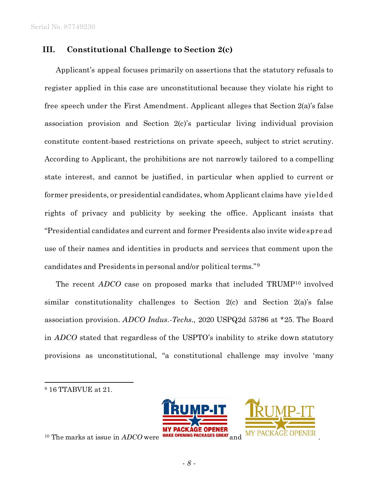## **III. Constitutional Challenge to Section 2(c)**

Applicant's appeal focuses primarily on assertions that the statutory refusals to register applied in this case are unconstitutional because they violate his right to free speech under the First Amendment. Applicant alleges that Section 2(a)'s false association provision and Section 2(c)'s particular living individual provision constitute content-based restrictions on private speech, subject to strict scrutiny. According to Applicant, the prohibitions are not narrowly tailored to a compelling state interest, and cannot be justified, in particular when applied to current or former presidents, or presidential candidates, whom Applicant claims have yielded rights of privacy and publicity by seeking the office. Applicant insists that "Presidential candidates and current and former Presidents also invite widespread use of their names and identities in products and services that comment upon the candidates and Presidents in personal and/or political terms."<sup>9</sup>

The recent *ADCO* case on proposed marks that included TRUMP<sup>10</sup> involved similar constitutionality challenges to Section 2(c) and Section 2(a)'s false association provision. *ADCO Indus.-Techs.,* 2020 USPQ2d 53786 at \*25. The Board in *ADCO* stated that regardless of the USPTO's inability to strike down statutory provisions as unconstitutional, "a constitutional challenge may involve 'many

l



 $10$  The marks at issue in  $ADCO$  were **MAKE OPENING PACKAGES GREAT** and

<sup>9</sup> 16 TTABVUE at 21.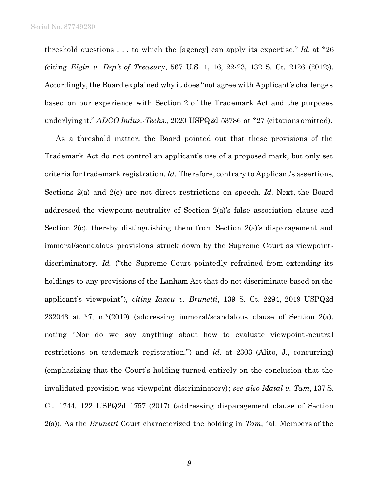threshold questions . . . to which the [agency] can apply its expertise." *Id.* at \*26 *(*citing *Elgin v. Dep't of Treasury*, 567 U.S. 1, 16, 22-23, 132 S. Ct. 2126 (2012)). Accordingly, the Board explained why it does "not agree with Applicant's challenges based on our experience with Section 2 of the Trademark Act and the purposes underlying it." *ADCO Indus.-Techs.,* 2020 USPQ2d 53786 at \*27 (citations omitted).

As a threshold matter, the Board pointed out that these provisions of the Trademark Act do not control an applicant's use of a proposed mark, but only set criteria for trademark registration. *Id.* Therefore, contrary to Applicant's assertions, Sections 2(a) and 2(c) are not direct restrictions on speech. *Id.* Next, the Board addressed the viewpoint-neutrality of Section 2(a)'s false association clause and Section 2(c), thereby distinguishing them from Section 2(a)'s disparagement and immoral/scandalous provisions struck down by the Supreme Court as viewpointdiscriminatory. *Id.* ("the Supreme Court pointedly refrained from extending its holdings to any provisions of the Lanham Act that do not discriminate based on the applicant's viewpoint")*, citing Iancu v. Brunetti*, 139 S. Ct. 2294, 2019 USPQ2d 232043 at \*7, n.\*(2019) (addressing immoral/scandalous clause of Section 2(a), noting "Nor do we say anything about how to evaluate viewpoint-neutral restrictions on trademark registration.") and *id.* at 2303 (Alito, J., concurring) (emphasizing that the Court's holding turned entirely on the conclusion that the invalidated provision was viewpoint discriminatory); *see also Matal v. Tam*, 137 S. Ct. 1744, 122 USPQ2d 1757 (2017) (addressing disparagement clause of Section 2(a)). As the *Brunetti* Court characterized the holding in *Tam*, "all Members of the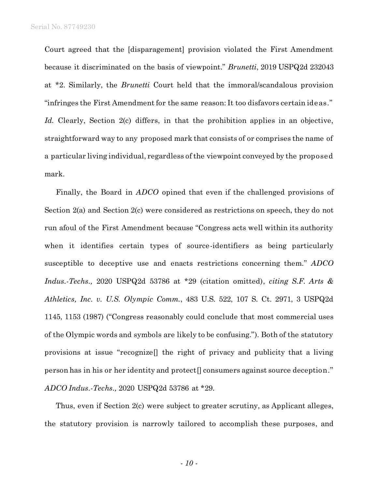Court agreed that the [disparagement] provision violated the First Amendment because it discriminated on the basis of viewpoint." *Brunetti*, 2019 USPQ2d 232043 at \*2. Similarly, the *Brunetti* Court held that the immoral/scandalous provision "infringes the First Amendment for the same reason: It too disfavors certain ideas." *Id.* Clearly, Section 2(c) differs, in that the prohibition applies in an objective, straightforward way to any proposed mark that consists of or comprises the name of a particular living individual, regardless of the viewpoint conveyed by the proposed mark.

Finally, the Board in *ADCO* opined that even if the challenged provisions of Section 2(a) and Section 2(c) were considered as restrictions on speech, they do not run afoul of the First Amendment because "Congress acts well within its authority when it identifies certain types of source-identifiers as being particularly susceptible to deceptive use and enacts restrictions concerning them." *ADCO Indus.-Techs.,* 2020 USPQ2d 53786 at \*29 (citation omitted), *citing S.F. Arts & Athletics, Inc. v. U.S. Olympic Comm.*, 483 U.S. 522, 107 S. Ct. 2971, 3 USPQ2d 1145, 1153 (1987) ("Congress reasonably could conclude that most commercial uses of the Olympic words and symbols are likely to be confusing."). Both of the statutory provisions at issue "recognize[] the right of privacy and publicity that a living person has in his or her identity and protect[] consumers against source deception." *ADCO Indus.-Techs.,* 2020 USPQ2d 53786 at \*29.

Thus, even if Section 2(c) were subject to greater scrutiny, as Applicant alleges, the statutory provision is narrowly tailored to accomplish these purposes, and

- *10* -